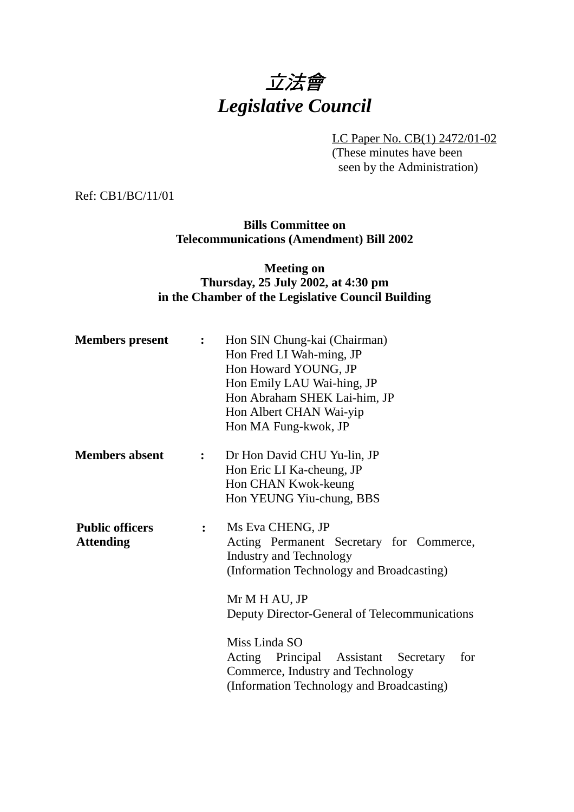

LC Paper No. CB(1) 2472/01-02 (These minutes have been seen by the Administration)

Ref: CB1/BC/11/01

## **Bills Committee on Telecommunications (Amendment) Bill 2002**

#### **Meeting on Thursday, 25 July 2002, at 4:30 pm in the Chamber of the Legislative Council Building**

| <b>Members</b> present                     | $\mathbf{L}$     | Hon SIN Chung-kai (Chairman)<br>Hon Fred LI Wah-ming, JP<br>Hon Howard YOUNG, JP<br>Hon Emily LAU Wai-hing, JP<br>Hon Abraham SHEK Lai-him, JP<br>Hon Albert CHAN Wai-yip<br>Hon MA Fung-kwok, JP                                                                                                                                                               |
|--------------------------------------------|------------------|-----------------------------------------------------------------------------------------------------------------------------------------------------------------------------------------------------------------------------------------------------------------------------------------------------------------------------------------------------------------|
| <b>Members absent</b>                      | $\ddot{\bullet}$ | Dr Hon David CHU Yu-lin, JP<br>Hon Eric LI Ka-cheung, JP<br>Hon CHAN Kwok-keung<br>Hon YEUNG Yiu-chung, BBS                                                                                                                                                                                                                                                     |
| <b>Public officers</b><br><b>Attending</b> | $\ddot{\cdot}$   | Ms Eva CHENG, JP<br>Acting Permanent Secretary for Commerce,<br><b>Industry and Technology</b><br>(Information Technology and Broadcasting)<br>Mr M H AU, JP<br>Deputy Director-General of Telecommunications<br>Miss Linda SO<br>Acting Principal Assistant Secretary<br>for<br>Commerce, Industry and Technology<br>(Information Technology and Broadcasting) |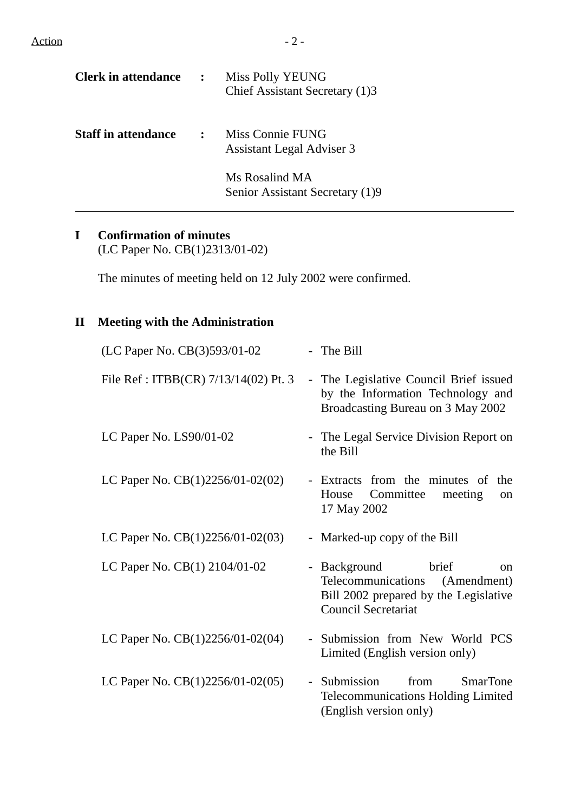| <b>Clerk in attendance</b> | $\mathbb{R}^{\mathbb{Z}}$ | <b>Miss Polly YEUNG</b><br>Chief Assistant Secretary (1)3 |
|----------------------------|---------------------------|-----------------------------------------------------------|
| <b>Staff in attendance</b> |                           | Miss Connie FUNG<br><b>Assistant Legal Adviser 3</b>      |
|                            |                           | Ms Rosalind MA<br>Senior Assistant Secretary (1)9         |

# **I Confirmation of minutes**

(LC Paper No. CB(1)2313/01-02)

The minutes of meeting held on 12 July 2002 were confirmed.

# **II Meeting with the Administration**

| (LC Paper No. CB(3)593/01-02         | - The Bill                                                                                                                                    |
|--------------------------------------|-----------------------------------------------------------------------------------------------------------------------------------------------|
| File Ref: ITBB(CR) 7/13/14(02) Pt. 3 | - The Legislative Council Brief issued<br>by the Information Technology and<br>Broadcasting Bureau on 3 May 2002                              |
| LC Paper No. LS90/01-02              | - The Legal Service Division Report on<br>the Bill                                                                                            |
| LC Paper No. CB(1)2256/01-02(02)     | - Extracts from the minutes of<br>the<br>Committee<br>meeting<br>House<br>on<br>17 May 2002                                                   |
| LC Paper No. $CB(1)2256/01-02(03)$   | - Marked-up copy of the Bill                                                                                                                  |
| LC Paper No. CB(1) 2104/01-02        | - Background<br>brief<br>$\alpha$<br>Telecommunications<br>(Amendment)<br>Bill 2002 prepared by the Legislative<br><b>Council Secretariat</b> |
| LC Paper No. $CB(1)2256/01-02(04)$   | Submission from New World PCS<br>$\equiv$<br>Limited (English version only)                                                                   |
| LC Paper No. CB(1)2256/01-02(05)     | <b>SmarTone</b><br>Submission<br>from<br>$\sim$ .<br><b>Telecommunications Holding Limited</b><br>(English version only)                      |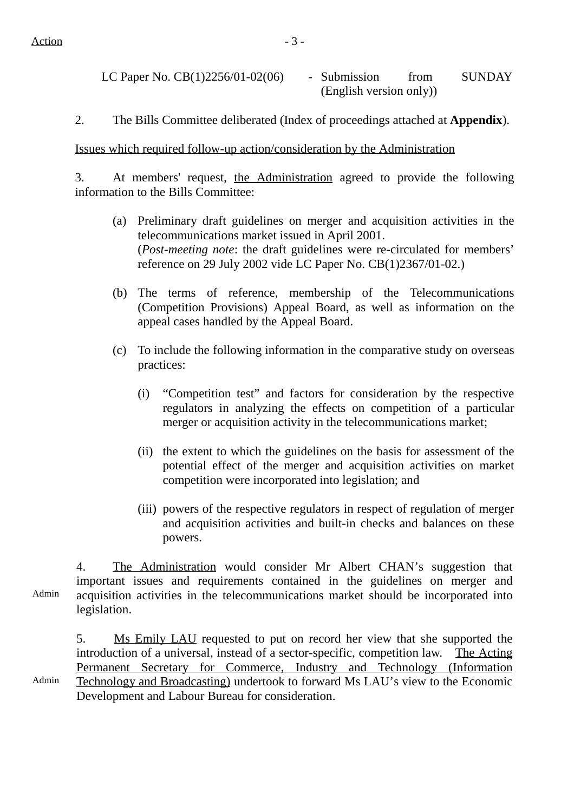Admin

LC Paper No. CB(1)2256/01-02(06) - Submission from SUNDAY (English version only))

2. The Bills Committee deliberated (Index of proceedings attached at **Appendix**).

Issues which required follow-up action/consideration by the Administration

3. At members' request, the Administration agreed to provide the following information to the Bills Committee:

- (a) Preliminary draft guidelines on merger and acquisition activities in the telecommunications market issued in April 2001. (*Post-meeting note*: the draft guidelines were re-circulated for members' reference on 29 July 2002 vide LC Paper No. CB(1)2367/01-02.)
- (b) The terms of reference, membership of the Telecommunications (Competition Provisions) Appeal Board, as well as information on the appeal cases handled by the Appeal Board.
- (c) To include the following information in the comparative study on overseas practices:
	- (i) "Competition test" and factors for consideration by the respective regulators in analyzing the effects on competition of a particular merger or acquisition activity in the telecommunications market;
	- (ii) the extent to which the guidelines on the basis for assessment of the potential effect of the merger and acquisition activities on market competition were incorporated into legislation; and
	- (iii) powers of the respective regulators in respect of regulation of merger and acquisition activities and built-in checks and balances on these powers.

Admin 4. The Administration would consider Mr Albert CHAN's suggestion that important issues and requirements contained in the guidelines on merger and acquisition activities in the telecommunications market should be incorporated into legislation.

5. Ms Emily LAU requested to put on record her view that she supported the introduction of a universal, instead of a sector-specific, competition law. The Acting Permanent Secretary for Commerce, Industry and Technology (Information Technology and Broadcasting) undertook to forward Ms LAU's view to the Economic Development and Labour Bureau for consideration.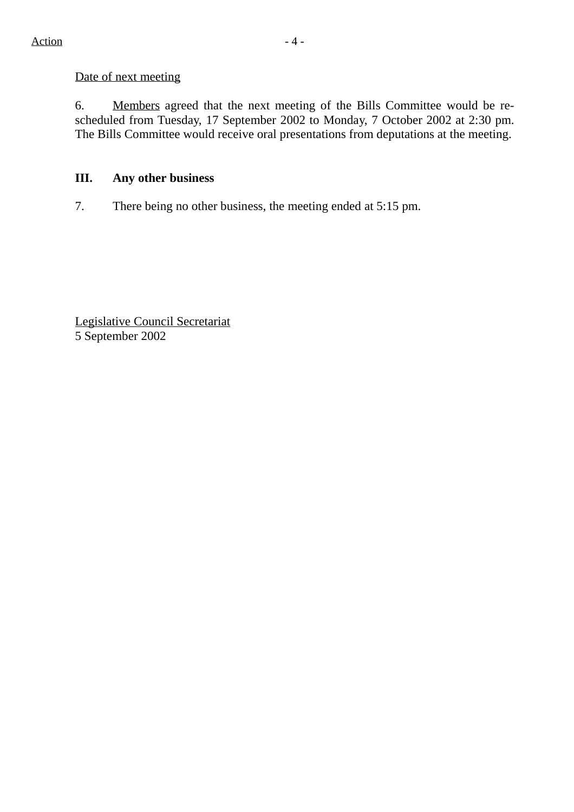#### Date of next meeting

6. Members agreed that the next meeting of the Bills Committee would be rescheduled from Tuesday, 17 September 2002 to Monday, 7 October 2002 at 2:30 pm. The Bills Committee would receive oral presentations from deputations at the meeting.

## **III. Any other business**

7. There being no other business, the meeting ended at 5:15 pm.

Legislative Council Secretariat 5 September 2002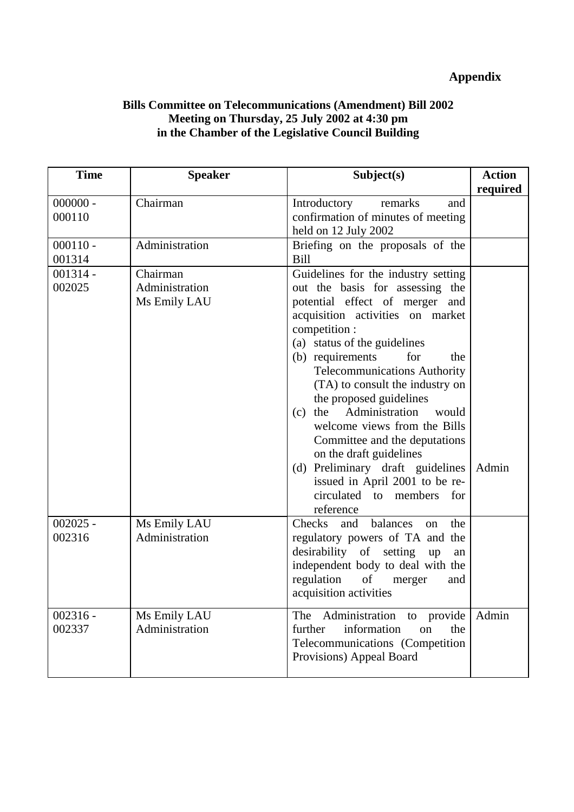# **Appendix**

## **Bills Committee on Telecommunications (Amendment) Bill 2002 Meeting on Thursday, 25 July 2002 at 4:30 pm in the Chamber of the Legislative Council Building**

| <b>Time</b>          | <b>Speaker</b>                             | Subject(s)                                                                                                                                                                                                                                                                                                                                                                                                                                                                                                                                                                             | <b>Action</b><br>required |
|----------------------|--------------------------------------------|----------------------------------------------------------------------------------------------------------------------------------------------------------------------------------------------------------------------------------------------------------------------------------------------------------------------------------------------------------------------------------------------------------------------------------------------------------------------------------------------------------------------------------------------------------------------------------------|---------------------------|
| $000000 -$<br>000110 | Chairman                                   | Introductory<br>remarks<br>and<br>confirmation of minutes of meeting<br>held on 12 July 2002                                                                                                                                                                                                                                                                                                                                                                                                                                                                                           |                           |
| $000110 -$<br>001314 | Administration                             | Briefing on the proposals of the<br>Bill                                                                                                                                                                                                                                                                                                                                                                                                                                                                                                                                               |                           |
| $001314 -$<br>002025 | Chairman<br>Administration<br>Ms Emily LAU | Guidelines for the industry setting<br>out the basis for assessing the<br>potential effect of merger and<br>acquisition activities on market<br>competition :<br>(a) status of the guidelines<br>(b) requirements<br>for<br>the<br><b>Telecommunications Authority</b><br>(TA) to consult the industry on<br>the proposed guidelines<br>(c) the Administration<br>would<br>welcome views from the Bills<br>Committee and the deputations<br>on the draft guidelines<br>(d) Preliminary draft guidelines<br>issued in April 2001 to be re-<br>circulated to members<br>for<br>reference | Admin                     |
| $002025 -$<br>002316 | Ms Emily LAU<br>Administration             | Checks<br>balances<br>and<br>the<br>on<br>regulatory powers of TA and the<br>desirability of setting<br>up<br>an<br>independent body to deal with the<br>regulation<br>of<br>merger<br>and<br>acquisition activities                                                                                                                                                                                                                                                                                                                                                                   |                           |
| $002316 -$<br>002337 | Ms Emily LAU<br>Administration             | Administration to provide<br>The<br>further<br>information<br>on<br>the<br>Telecommunications (Competition<br>Provisions) Appeal Board                                                                                                                                                                                                                                                                                                                                                                                                                                                 | Admin                     |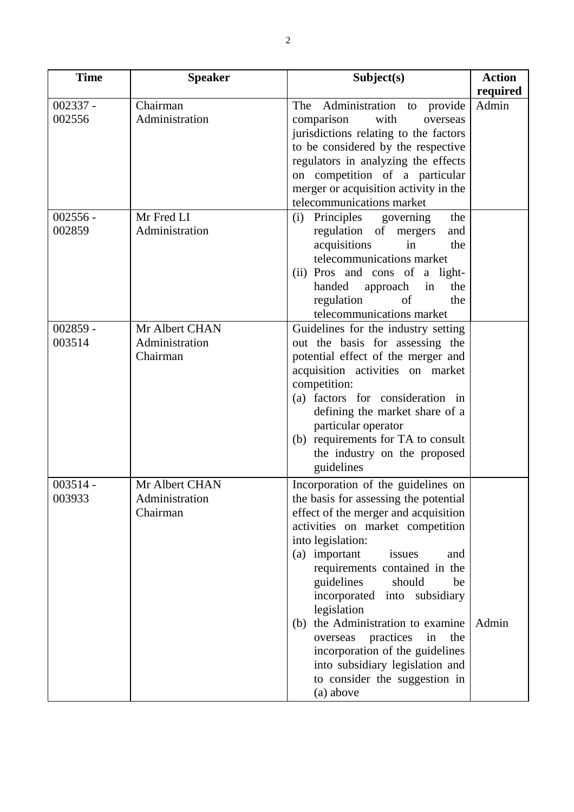| <b>Time</b> | <b>Speaker</b> | Subject(s)                            | <b>Action</b> |
|-------------|----------------|---------------------------------------|---------------|
|             |                |                                       | required      |
| $002337 -$  | Chairman       | Administration to<br>The<br>provide   | Admin         |
| 002556      | Administration | comparison<br>with<br>overseas        |               |
|             |                | jurisdictions relating to the factors |               |
|             |                | to be considered by the respective    |               |
|             |                | regulators in analyzing the effects   |               |
|             |                | on competition of a particular        |               |
|             |                | merger or acquisition activity in the |               |
|             |                | telecommunications market             |               |
| $002556 -$  | Mr Fred LI     | Principles governing<br>the<br>(i)    |               |
| 002859      | Administration | regulation of mergers<br>and          |               |
|             |                | acquisitions<br>in<br>the             |               |
|             |                | telecommunications market             |               |
|             |                | (ii) Pros and cons of a light-        |               |
|             |                | handed<br>approach<br>the<br>in       |               |
|             |                | regulation<br>of<br>the               |               |
|             |                | telecommunications market             |               |
| $002859 -$  | Mr Albert CHAN | Guidelines for the industry setting   |               |
| 003514      | Administration | out the basis for assessing the       |               |
|             | Chairman       | potential effect of the merger and    |               |
|             |                | acquisition activities on market      |               |
|             |                | competition:                          |               |
|             |                | (a) factors for consideration in      |               |
|             |                | defining the market share of a        |               |
|             |                | particular operator                   |               |
|             |                | (b) requirements for TA to consult    |               |
|             |                | the industry on the proposed          |               |
|             |                | guidelines                            |               |
| $003514 -$  | Mr Albert CHAN | Incorporation of the guidelines on    |               |
| 003933      | Administration | the basis for assessing the potential |               |
|             | Chairman       | effect of the merger and acquisition  |               |
|             |                | activities on market competition      |               |
|             |                | into legislation:                     |               |
|             |                | (a) important<br>issues<br>and        |               |
|             |                | requirements contained in the         |               |
|             |                | guidelines<br>should<br>be            |               |
|             |                | incorporated into subsidiary          |               |
|             |                | legislation                           |               |
|             |                | (b) the Administration to examine     | Admin         |
|             |                | practices<br>in<br>the<br>overseas    |               |
|             |                | incorporation of the guidelines       |               |
|             |                | into subsidiary legislation and       |               |
|             |                | to consider the suggestion in         |               |
|             |                | (a) above                             |               |